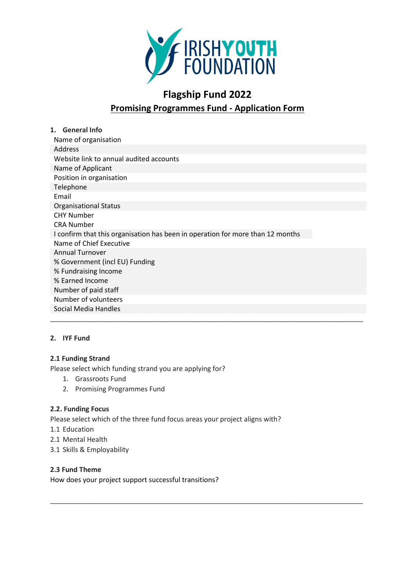

# **Flagship Fund 2022 Promising Programmes Fund - Application Form**

| 1. General Info                                                                |
|--------------------------------------------------------------------------------|
| Name of organisation                                                           |
| Address                                                                        |
| Website link to annual audited accounts                                        |
| Name of Applicant                                                              |
| Position in organisation                                                       |
| Telephone                                                                      |
| Email                                                                          |
| <b>Organisational Status</b>                                                   |
| <b>CHY Number</b>                                                              |
| <b>CRA Number</b>                                                              |
| I confirm that this organisation has been in operation for more than 12 months |
| Name of Chief Executive                                                        |
| <b>Annual Turnover</b>                                                         |
| % Government (incl EU) Funding                                                 |
| % Fundraising Income                                                           |
| % Earned Income                                                                |
| Number of paid staff                                                           |
| Number of volunteers                                                           |
| Social Media Handles                                                           |
|                                                                                |

#### **2. IYF Fund**

#### **2.1 Funding Strand**

Please select which funding strand you are applying for?

- 1. Grassroots Fund
- 2. Promising Programmes Fund

#### **2.2. Funding Focus**

Please select which of the three fund focus areas your project aligns with?

\_\_\_\_\_\_\_\_\_\_\_\_\_\_\_\_\_\_\_\_\_\_\_\_\_\_\_\_\_\_\_\_\_\_\_\_\_\_\_\_\_\_\_\_\_\_\_\_\_\_\_\_\_\_\_\_\_\_\_\_\_\_\_\_\_\_\_\_\_\_\_\_\_\_\_\_\_\_\_\_\_\_

- 1.1 Education
- 2.1 Mental Health
- 3.1 Skills & Employability

#### **2.3 Fund Theme**

How does your project support successful transitions?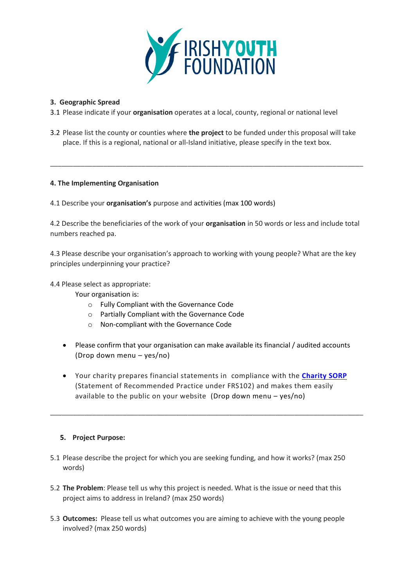

#### **3. Geographic Spread**

- 3.1 Please indicate if your **organisation** operates at a local, county, regional or national level
- 3.2 Please list the county or counties where **the project** to be funded under this proposal will take place. If this is a regional, national or all-Island initiative, please specify in the text box.

\_\_\_\_\_\_\_\_\_\_\_\_\_\_\_\_\_\_\_\_\_\_\_\_\_\_\_\_\_\_\_\_\_\_\_\_\_\_\_\_\_\_\_\_\_\_\_\_\_\_\_\_\_\_\_\_\_\_\_\_\_\_\_\_\_\_\_\_\_\_\_\_\_\_\_\_\_\_\_\_\_\_

#### **4. The Implementing Organisation**

4.1 Describe your **organisation's** purpose and activities (max 100 words)

4.2 Describe the beneficiaries of the work of your **organisation** in 50 words or less and include total numbers reached pa.

4.3 Please describe your organisation's approach to working with young people? What are the key principles underpinning your practice?

4.4 Please select as appropriate:

Your organisation is:

- o Fully Compliant with the Governance Code
- o Partially Compliant with the Governance Code
- o Non-compliant with the Governance Code
- Please confirm that your organisation can make available its financial / audited accounts (Drop down menu – yes/no)
- Your charity prepares financial statements in compliance with the **[Charity SORP](http://www.charitysorp.org/)** (Statement of Recommended Practice under FRS102) and makes them easily available to the public on your website (Drop down menu – yes/no)

\_\_\_\_\_\_\_\_\_\_\_\_\_\_\_\_\_\_\_\_\_\_\_\_\_\_\_\_\_\_\_\_\_\_\_\_\_\_\_\_\_\_\_\_\_\_\_\_\_\_\_\_\_\_\_\_\_\_\_\_\_\_\_\_\_\_\_\_\_\_\_\_\_\_\_\_\_\_\_\_\_\_

#### **5. Project Purpose:**

- 5.1 Please describe the project for which you are seeking funding, and how it works? (max 250 words)
- 5.2 **The Problem**: Please tell us why this project is needed. What is the issue or need that this project aims to address in Ireland? (max 250 words)
- 5.3 **Outcomes:** Please tell us what outcomes you are aiming to achieve with the young people involved? (max 250 words)